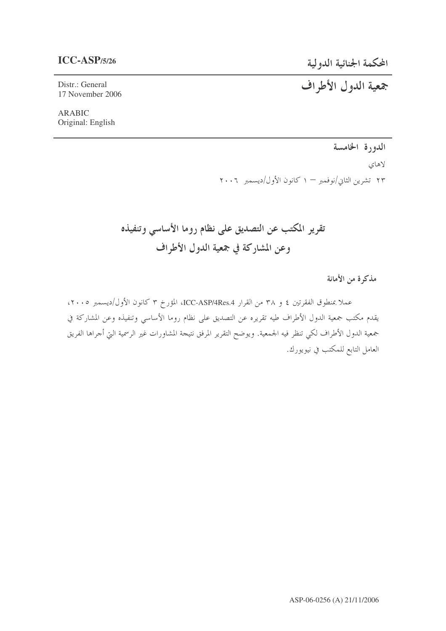# $ICC-ASP/5/26$

المحكمة الجنائية الدولية

جمعية الدول الأطراف

Distr.: General 17 November 2006

**ARABIC** Original: English

الدورة الخامسة

لاهاي ٢٣ تشرين الثاني/نوفمبر – ١ كانون الأول/ديسمبر ٢٠٠٦

تقرير المكتب عن التصديق على نظام روما الأساسي وتنفيذه وعن المشاركة في جمعية الدول الأطراف

مذكرة من الأمانة

عملا بمنطوق الفقرتين ٤ و ٣٨ من القرار ICC-ASP/4Res.4، المؤرخ ٣ كانون الأول/ديسمبر ٢٠٠٥، يقدم مكتب جمعية الدول الأطراف طيه تقريره عن التصديق على نظام روما الأساسي وتنفيذه وعن المشاركة في جمعية الدول الأطراف لكي تنظر فيه الجمعية. ويوضح التقرير المرفق نتيجة المشاورات غير الرسمية التي أحراها الفريق العامل التابع للمكتب في نيويورك.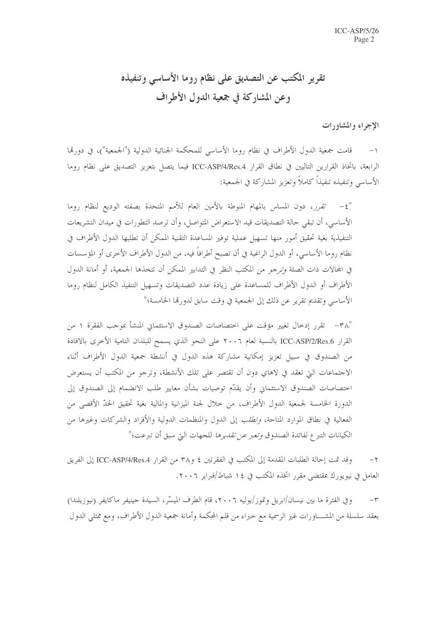# تقرير المكتب عن التصديق على نظام روما الأساسي وتنفيذه وعن المشاركة في جمعية الدول الأطراف

الإجراء والمشاورات

قامت جمعية الدول الأطراف في نظام روما الأساسي للمحكمة الجنائية الدولية ("الجمعية")، في دورتما الرابعة، باتخاذ القرارين التاليين في نطاق القرار ICC-ASP/4/Res.4 فيما يتصل بتعزيز التصديق على نظام روما الأساسي وتنفيذه تنفيذاً كاملاً وتعزيز المشاركة في الجمعية:

"٤- تقرر، دون المساس بالمهام المنوطة بالأمين العام للأمم المتحدة بصفته الوديع لنظام روما الأساسي، أن تبقى حالة التصديقات قيد الاستعراض المتواصل، وأن ترصد التطورات في ميدان التشريعات التنفيذية بغية تحقيق أمور منها تسهيل عملية توفير المساعدة التقنية الممكن أن تطلبها الدول الأطراف في نظام روما الأساسي، أو الدول الراغبة في أن تصبح أطرافاً فيه، من الدول الأطراف الأخرى أو المؤسسات في المحالات ذات الصلة وترجو من المكتب النظر في التدابير الممكن أن تتخذها الجمعية، أو أمانة الدول الأطراف أو الدول الأطراف للمساعدة على زيادة عدد التصديقات وتسهيل التنفيذ الكامل لنظام روما الأساسي وتقديم تقرير عن ذلك إلى الجمعية في وقت سابق لدورتما الخامسة؛"

٣٨" – تقرر إدخال تغيير مؤقت على اختصاصات الصندوق الاستئماني المنشأ بموجب الفقرة ١ من القرار ICC-ASP/2/Res.6 بالنسبة لعام ٢٠٠٦ على النحو الذي يسمح للبلدان النامية الأخرى بالافادة من الصندوق في سبيل تعزيز إمكانية مشاركة هذه الدول في أنشطة جمعية الدول الأطراف أثناء الاحتماعات التي تعقد في لاهاي دون أن تقتصر على تلك الأنشطة، وترجو من المكتب أن يستعرض احتصاصات الصندوق الاستئماني وأن يقدّم توصيات بشأن معايير طلب الانضمام إلى الصندوق إلى الدورة الخامسة لجمعية الدول الأطراف، من حلال لجنة الميزانية والمالية بغية تحقيق الحدّ الأقصى من الفعالية في نطاق الموارد المتاحة، *وتطلب* إلى الدول والمنظمات الدولية والأفراد والشركات وغيرها من الكيانات التبرع لفائدة الصندوق *وتعبر عن تقديرها* للجهات التي سبق أن تبرعت؛"

وقد تمت إحالة الطلبات المقدمة إلى المكتب في الفقرتين ٤ و٣٨ من القرار ICC-ASP/4/Res.4 إلى الفريق  $-\tau$ العامل في نيويورك بمقتضى مقرر اتخذه المكتب في ١٤ شباط/فبراير ٢٠٠٦.

وفي الفترة ما بين نيسان/ابريل وتموز/يوليه ٢٠٠٦، قام الطرف الميسّر، السيدة حينيفر ماكايفر (نيوزيلندا)  $-\tau$ بعقد سلسلة من المشــــاورات غير الرسمية مع خبراء من قلم المحكمة وأمانة جمعية الدول الأطراف، ومع ممثلي الدول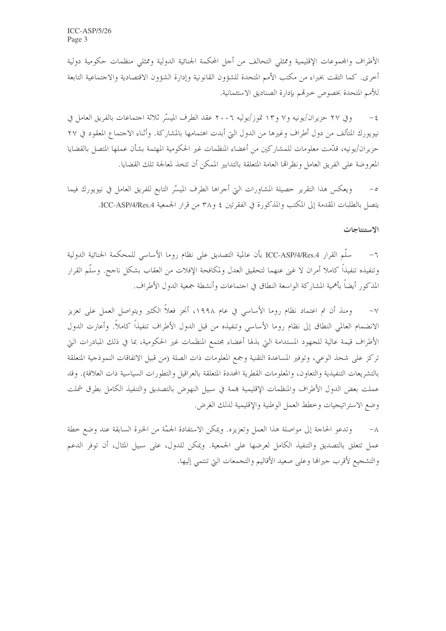الأطراف والمجموعات الإقليمية وممثلي التحالف من أجل المحكمة الجنائية الدولية وممثلي منظمات حكومية دولية أحرى. كما التقت بخبراء من مكتب الأمم المتحدة للشؤون القانونية وإدارة الشؤون الاقتصادية والاجتماعية التابعة للأمم المتحدة بخصوص حبرتمم بإدارة الصناديق الاستئمانية.

وفي ٢٧ حزيران/يونيه و٧ و١٣ تموز/يوليه ٢٠٠٦ عقد الطرف الميسّر ثلاثة اجتماعات بالفريق العامل في  $-\xi$ نيويورك المتألف من دول أطراف وغيرها من الدول التي أبدت اهتمامها بالمشاركة. وأثناء الاجتماع المعقود في ٢٧ حزير ان/يونيه، قدَّمت معلومات للمشاركين من أعضاء المنظمات غير الحكومية المهتمة بشأن عملها المتصل بالقضايا المعروضة على الفريق العامل ونظراها العامة المتعلقة بالتدابير الممكن أن تتخذ لمعالجة تلك القضايا.

ويعكس هذا التقرير حصيلة المشاورات التي أجراها الطرف الميسَّر التابع للفريق العامل في نيويورك فيما يتصل بالطلبات المقدمة إلى المكتب والمذكورة في الفقرتين ٤ و٣٨ من قرار الجمعية ICC-ASP/4/Res.4.

#### الاستنتاجات

سلَّم القرار ICC-ASP/4/Res.4 بأن عالمية التصديق على نظام روما الأساسي للمحكمة الجنائية الدولية  $-7$ وتنفيذه تنفيذاً كاملا أمران لا غني عنهما لتحقيق العدل ولمكافحة الإفلات من العقاب بشكل ناجح. وسلّم القرار المذكو, أيضاً بأهمية المشاركة الواسعة النطاق في احتماعات وأنشطة جمعية الدول الأطراف.

ومنذ أن تم اعتماد نظام روما الأساسي في عام ١٩٩٨، أنجز فعلاً الكثير ويتواصل العمل على تعزيز  $-\vee$ الانضمام العالمي النطاق إلى نظام روما الأساسي وتنفيذه من قبل الدول الأطراف تنفيذاً كاملاً. وأعارت الدول الأطراف قيمة عالية للجهود المستدامة التي بذلها أعضاء مجتمع المنظمات غير الحكومية، بما في ذلك المبادرات التي تركز على شحذ الوعي، وتوفير المساعدة التقنية وجمع المعلومات ذات الصلة (من قبيل الاتفاقات النموذجية المتعلقة بالتشريعات التنفيذية والتعاون، والمعلومات القطرية المحددة المتعلقة بالعراقيل والتطورات السياسية ذات العلاقة). وقد عملت بعض الدول الأطراف والمنظمات الإقليمية بممة في سبيل النهوض بالتصديق والتنفيذ الكامل بطرق شملت وضع الاستراتيجيات وخطط العمل الوطنية والإقليمية لذلك الغرض.

وتدعو الحاجة إلى مواصلة هذا العمل وتعزيزه. ويمكن الاستفادة الجمّة من الخبرة السابقة عند وضع خطة  $-\lambda$ عمل تتعلق بالتصديق والتنفيذ الكامل لعرضها على الجمعية. ويمكن للدول، على سبيل المثال، أن توفر الدعم والتشجيع لأقرب جيراها وعلى صعيد الأقاليم والتجمعات التي تنتمي إليها.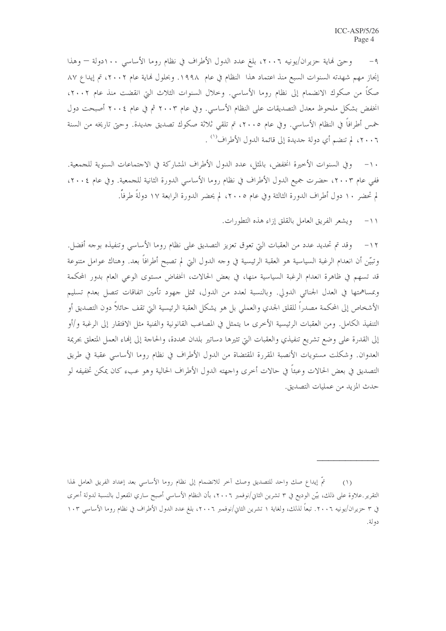٩- وحتى فماية حزيران/يونيه ٢٠٠٦، بلغ عدد الدول الأطراف في نظام روما الأساسي ١٠٠دولة — وهذا إنجاز مهم شهدته السنوات السبع منذ اعتماد هذا النظام في عام ١٩٩٨. وبحلول لهاية عام ٢٠٠٢، تم إيداع ٨٧ صكاً من صكوك الانضمام إلى نظام روما الأساسي. وحلال السنوات الثلاث التي انقضت منذ عام ٢٠٠٢، انخفض بشكل ملحوظ معدل التصديقات على النظام الأساسي. وفي عام ٢٠٠٣ ثم في عام ٢٠٠٤ أصبحت دول خمس أطرافاً في النظام الأساسي. وفي عام ٢٠٠٥، تم تلقى ثلاثة صكوك تصديق حديدة. وحتى تاريخه من السنة ٢٠٠٦، لم تنضم أي دولة جديدة إلى قائمة الدول الأطراف'' .

وفي السنوات الأخيرة انخفض، بالمثل، عدد الدول الأطراف المشاركة في الاجتماعات السنوية للجمعية.  $-1$ ففي عام ٢٠٠٣، حضرت جميع الدول الأطراف في نظام روما الأساسي الدورة الثانية للجمعية. وفي عام ٢٠٠٤، " لم تحضر ١٠ دول أطراف الدورة الثالثة وفي عام ٢٠٠٥، لم يحضر الدورة الرابعة ١٧ دولةً طرفاً.

> ويشعر الفريق العامل بالقلق إزاء هذه التطورات.  $-11$

١٢– وقد تم تحديد عدد من العقبات التي تعوق تعزيز التصديق على نظام روما الأساسي وتنفيذه بوجه أفضل. وتبيّن أن انعدام الرغبة السياسية هو العقبة الرئيسية في وحه الدول التي لم تصبح أطرافاً بعد. وهناك عوامل متنوعة قد تسهم في ظاهرة انعدام الرغبة السياسية منها، في بعض الحالات، انخفاض مستوى الوعي العام بدور المحكمة وبمساهمتها في العدل الجنائي الدولي. وبالنسبة لعدد من الدول، تمثل حهود تأمين اتفاقات تتصل بعدم تسليم الأشخاص إلى المحكمة مصدراً للقلق الجدي والعملي بل هو يشكل العقبة الرئيسية التي تقف حائلاً دون التصديق أو التنفيذ الكامل. ومن العقبات الرئيسية الأخرى ما يتمثل في المصاعب القانونية والفنية مثل الافتقار إلى الرغبة و/أو إلى القدرة على وضع تشريع تنفيذي والعقبات التي تثيرها دساتير بلدان محددة، والحاجة إلى إنهاء العمل المتعلق بجريمة العدوان. وشكلت مستويات الأنصبة المقررة المقتضاة من الدول الأطراف في نظام روما الأساسي عقبة في طريق التصديق في بعض الحالات وعبئاً في حالات أخرى واجهته الدول الأطراف الحالية وهو عبء كان يمكن تخفيفه لو حدث المزيد من عمليات التصديق.

تمَّ إيداع صك واحد للتصديق وصك آخر للانضمام إلى نظام روما الأساسي بعد إعداد الفريق العامل لهذا  $(1)$ التقرير علاوة على ذلك، بيّن الوديع في ٣ تشرين الثاني/نوفمبر ٢٠٠٦، بأن النظام الأساسي أصبح ساري المفعول بالنسبة لدولة أخرى في ٣ حزيران/يونيه ٢٠٠٦. تبعاً لذلك، ولغاية ١ تشرين الثاني/نوفمبر ٢٠٠٦، بلغ عدد الدول الأطراف في نظام روما الأساسي ١٠٣ دولة.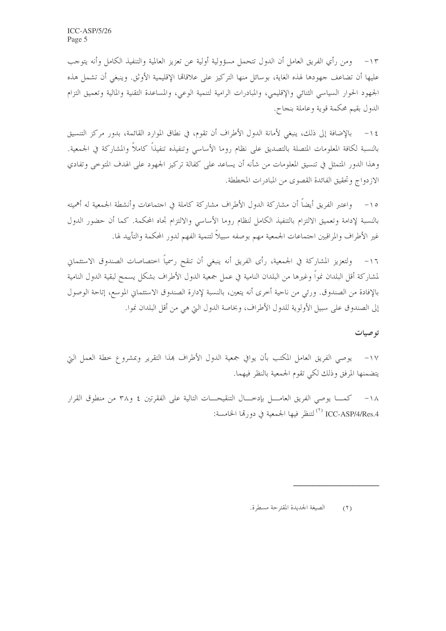١٣ – ومن رأي الفريق العامل أن الدول تتحمل مسؤولية أولية عن تعزيز العالمية والتنفيذ الكامل وأنه يتوحب عليها أن تضاعف جهودها لهذه الغاية، بوسائل منها التركيز على علاقالها الإقليمية الأوثق. وينبغي أن تشمل هذه الجهود الحوار السياسي الثنائي والإقليمي، والمبادرات الرامية لتنمية الوعي، والمساعدة التقنية والمالية وتعميق التزام الدول بقيم محكمة قوية وعاملة بنجاح.

١٤ – بالإضافة إلى ذلك، ينبغي لأمانة الدول الأطراف أن تقوم، في نطاق الموارد القائمة، بدور مركز التنسيق بالنسبة لكافة المعلومات المتصلة بالتصديق على نظام روما الأساسي وتنفيذه تنفيذاً كاملاً والمشاركة في الجمعية. وهذا الدور المتمثل في تنسيق المعلومات من شأنه أن يساعد على كفالة تركيز الجهود على الهدف المتوحى وتفادي الازدواج وتحقيق الفائدة القصوى من المبادرات المخططة.

١٥– واعتبر الفريق أيضاً أن مشاركة الدول الأطراف مشاركة كاملة في احتماعات وأنشطة الجمعية له أهميته بالنسبة لإدامة وتعميق الالتزام بالتنفيذ الكامل لنظام روما الأساسى والالتزام تجاه المحكمة. كما أن حضور الدول غير الأطراف والمراقبين احتماعات الجمعية مهم بوصفه سبيلاً لتنمية الفهم لدور المحكمة والتأييد لها.

ولتعزيز المشاركة في الجمعية، رأى الفريق أنه ينبغي أن تنقح رسمياً احتصاصات الصندوق الاستئماني  $-17$ لمشاركة أقل البلدان نمواً وغيرها من البلدان النامية في عمل جمعية الدول الأطراف بشكل يسمح لبقية الدول النامية بالإفادة من الصندوق. ورئي من ناحية أخرى أنه يتعين، بالنسبة لإدارة الصندوق الاستئماني الموسع، إتاحة الوصول إلى الصندوق على سبيل الأولوية للدول الأطراف، وبخاصة الدول التي هي من أقل البلدان نموا.

#### تو صيات

١٧– يوصى الفريق العامل المكتب بأن يوافي جمعية الدول الأطراف بمذا التقرير وبمشروع خطة العمل التي يتضمنها المرفق وذلك لكي تقوم الجمعية بالنظر فيهما.

كمـــا يوصى الفريق العامــــل بإدخــــال التنقيحــــات التالية على الفقرتين ٤ و٣٨ من منطوق القرار  $-1<sub>\lambda</sub>$ ICC-ASP/4/Res.4 <sup>(٢)</sup> لتنظر فيها الجمعية في دورتما الخامسة:

الصيغة الجديدة المقترحة مسطرة.  $(1)$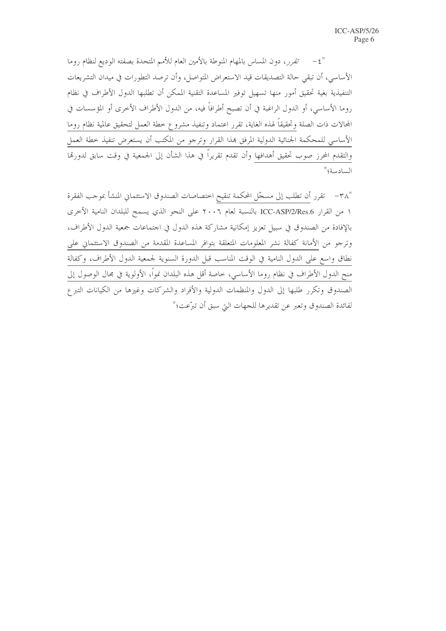"٤- تقرر، دون المساس بالمهام المنوطة بالأمين العام للأمم المتحدة بصفته الوديع لنظام روما الأساسي، أن تبقى حالة التصديقات قيد الاستعراض المتواصل، وأن ترصد التطورات في ميدان التشريعات التنفيذية بغية تحقيق أمور منها تسهيل توفير المساعدة التقنية الممكن أن تطلبها الدول الأطراف في نظام روما الأساسي، أو الدول الراغبة في أن تصبح أطرافاً فيه، من الدول الأطراف الأخرى أو المؤسسات في المحالات ذات الصلة وتحقيقاً لهذه الغاية، تقرر اعتماد وتنفيذ مشروع خطة العمل لتحقيق عالمية نظام روما الأساسي للمحكمة الجنائية الدولية المرفق بمذا القرار وترجو من المكتب أن يستعرض تنفيذ حطة العمل والتقدم المحرز صوب تحقيق أهدافها وأن تقدم تقريراً في هذا الشأن إلى الجمعية في وقت سابق لدورتما السادسة؛"

"٣٨- تقرر أن تطلب إلى مسجّل المحكمة تنقيح اختصاصات الصندوق الاستئماني المنشأ بموجب الفقرة ١ من القرار ICC-ASP/2/Res.6 بالنسبة لعام ٢٠٠٦ على النحو الذي يسمح للبلدان النامية الأخرى بالإفادة من الصندوق في سبيل تعزيز إمكانية مشاركة هذه الدول في احتماعات جمعية الدول الأطراف، وترجو من الأمانة كفالة نشر المعلومات المتعلقة بتوافر المساعدة المقدمة من الصندوق الاستئماني على نطاق واسع على الدول النامية في الوقت المناسب قبل الدورة السنوية لجمعية الدول الأطراف، وكفالة منح الدول الأطراف في نظام روما الأساسي، خاصة أقل هذه البلدان نمواً، الأولوية في مجال الوصول إلى الصندوق وتكرر طلبها إلى الدول والمنظمات الدولية والأفراد والشركات وغيرها من الكيانات التبرع لفائدة الصندوق وتعبر عن تقديرها للجهات التي سبق أن تبرَّعت؛"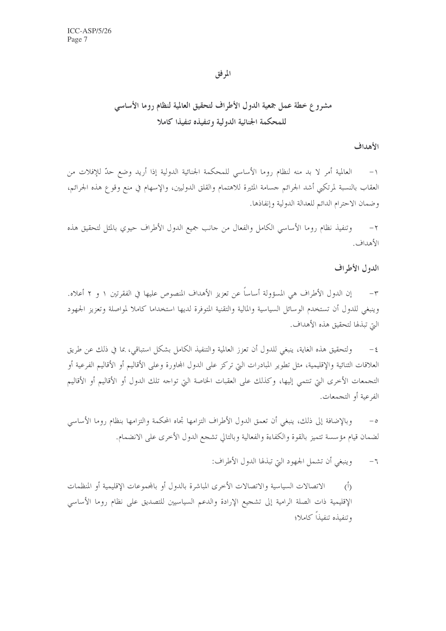## المرفق

# مشروع خطة عمل جمعية الدول الأطراف لتحقيق العالمية لنظام روما الأساسي للمحكمة الجنائية الدولية وتنفيذه تنفيذا كاملا

### الأهداف

العالمية أمر لا بد منه لنظام روما الأساسي للمحكمة الجنائية الدولية إذا أريد وضع حدّ للإفلات من  $-1$ العقاب بالنسبة لمرتكبي أشد الجرائم حسامة المثيرة للاهتمام والقلق الدوليين، والإسهام في منع وقوع هذه الجرائم، وضمان الاحترام الدائم للعدالة الدولية وإنفاذها.

وتنفيذ نظام روما الأساسي الكامل والفعال من حانب جميع الدول الأطراف حيوي بالمثل لتحقيق هذه  $-\tau$ الأهداف.

الدول الأطراف

إن الدول الأطراف هي المسؤولة أساساً عن تعزيز الأهداف المنصوص عليها في الفقرتين ١ و ٢ أعلاه.  $-\tau$ وينبغي للدول أن تستخدم الوسائل السياسية والمالية والتقنية المتوفرة لديها استخداما كاملا لمواصلة وتعزيز الجهود التي تبذلها لتحقيق هذه الأهداف.

ولتحقيق هذه الغاية، ينبغي للدول أن تعزز العالمية والتنفيذ الكامل بشكل استباقي، بما في ذلك عن طريق  $-\xi$ العلاقات الثنائية والإقليمية، مثل تطوير المبادرات التي تركز على الدول المحاورة وعلى الأقاليم أو الأقاليم الفرعية أو التجمعات الأخرى التي تنتمي إليها، وكذلك على العقبات الخاصة التي تواجه تلك الدول أو الأقاليم أو الأقاليم الفرعية أو التجمعات.

وبالإضافة إلى ذلك، ينبغي أن تعمق الدول الأطراف التزامها تجاه المحكمة والتزامها بنظام روما الأساسي  $-\circ$ لضمان قيام مؤسسة تتميز بالقوة والكفاءة والفعالية وبالتالي تشحع الدول الأخرى على الانضمام.

> وينبغي أن تشمل الجهود التي تبذلها الدول الأطراف:  $-\tau$

الاتصالات السياسية والاتصالات الأخرى المباشرة بالدول أو بالمحموعات الإقليمية أو المنظمات  $\langle \hat{D} \rangle$ الإقليمية ذات الصلة الرامية إلى تشجيع الإرادة والدعم السياسيين للتصديق على نظام روما الأساسي وتنفيذه تنفيذاً كاملا؛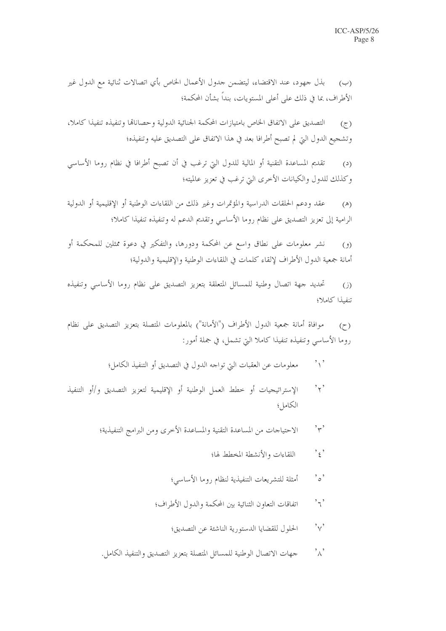بذل جهود، عند الاقتضاء، ليتضمن حدول الأعمال الخاص بأي اتصالات ثنائية مع الدول غير  $(\rightarrow)$ الأطراف، بما في ذلك على أعلى المستويات، بنداً بشأن المحكمة؛

التصديق على الاتفاق الخاص بامتيازات المحكمة الجنائية الدولية وحصاناقما وتنفيذه تنفيذا كاملا،  $(7)$ وتشجيع الدول التي لم تصبح أطرافا بعد في هذا الاتفاق على التصديق عليه وتنفيذه؛

تقديم المساعدة التقنية أو المالية للدول التي ترغب في أن تصبح أطرافا في نظام روما الأساسي  $(2)$ وكذلك للدول والكيانات الأخرى التي ترغب في تعزيز عالميته؛

عقد ودعم الحلقات الدراسية والمؤتمرات وغير ذلك من اللقاءات الوطنية أو الإقليمية أو الدولية  $(\mathbb{A})$ الرامية إلى تعزيز التصديق على نظام روما الأساسي وتقديم الدعم له وتنفيذه تنفيذا كاملا؛

نشر معلومات على نطاق وإسع عن المحكمة ودورها، والتفكير في دعوة ممثلين للمحكمة أو  $(9)$ أمانة جمعية الدول الأطراف لإلقاء كلمات في اللقاءات الوطنية والإقليمية والدولية؛

تحديد جهة اتصال وطنية للمسائل المتعلقة بتعزيز التصديق على نظام روما الأساسي وتنفيذه  $(i)$ تنفيذا كاملا؛

موافاة أمانة جمعية الدول الأطراف ("الأمانة") بالمعلومات المتصلة بتعزيز التصديق على نظام  $(7)$ روما الأساسي وتنفيذه تنفيذا كاملا التي تشمل، في جملة أمور:

- معلومات عن العقبات التي تواجه الدول في التصديق أو التنفيذ الكامل؛  $, \cdot$
- $, \, \cdot, \, \cdot$ الإستراتيجيات أو خطط العمل الوطنية أو الإقليمية لتعزيز التصديق وإأو التنفيذ الكامل؛
	- $'\gamma'$ الاحتياجات من المساعدة التقنية والمساعدة الأخرى ومن البرامج التنفيذية؛
		- $, \cdot, \cdot$ اللقاءات والأنشطة المخطط لها؛
		- $^{\circ}$   $\circ$ أمثلة للتشريعات التنفيذية لنظام روما الأساسى؛
		- اتفاقات التعاون الثنائية بين المحكمة والدول الأطراف؛  ${^\flat}$ ל
			- $\gamma$ , الحلول للقضايا الدستورية الناشئة عن التصديق؛
	- $\left\langle \cdot \right\rangle_{\mathcal{N}}$ جهات الاتصال الوطنية للمسائل المتصلة بتعزيز التصديق والتنفيذ الكامل.